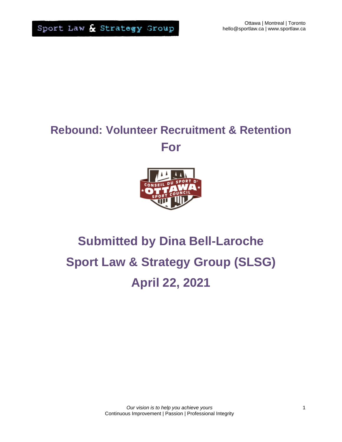# **Rebound: Volunteer Recruitment & Retention For**



# **Submitted by Dina Bell-Laroche Sport Law & Strategy Group (SLSG) April 22, 2021**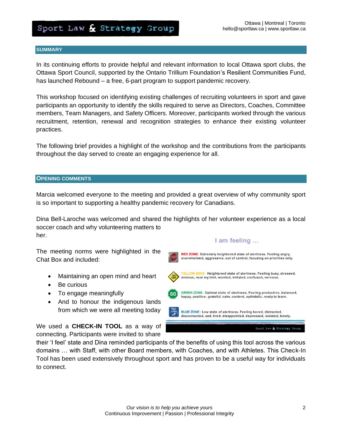#### **SUMMARY**

In its continuing efforts to provide helpful and relevant information to local Ottawa sport clubs, the Ottawa Sport Council, supported by the Ontario Trillium Foundation's Resilient Communities Fund, has launched Rebound – a free, 6-part program to support pandemic recovery.

This workshop focused on identifying existing challenges of recruiting volunteers in sport and gave participants an opportunity to identify the skills required to serve as Directors, Coaches, Committee members, Team Managers, and Safety Officers. Moreover, participants worked through the various recruitment, retention, renewal and recognition strategies to enhance their existing volunteer practices.

The following brief provides a highlight of the workshop and the contributions from the participants throughout the day served to create an engaging experience for all.

#### **OPENING COMMENTS**

Marcia welcomed everyone to the meeting and provided a great overview of why community sport is so important to supporting a healthy pandemic recovery for Canadians.

Dina Bell-Laroche was welcomed and shared the highlights of her volunteer experience as a local soccer coach and why volunteering matters to her.

The meeting norms were highlighted in the Chat Box and included:

- Maintaining an open mind and heart
- Be curious
- To engage meaningfully
- And to honour the indigenous lands from which we were all meeting today

We used a **CHECK-IN TOOL** as a way of connecting. Participants were invited to share

their 'I feel' state and Dina reminded participants of the benefits of using this tool across the various domains … with Staff, with other Board members, with Coaches, and with Athletes. This Check-In Tool has been used extensively throughout sport and has proven to be a useful way for individuals to connect.

#### I am feeling ...

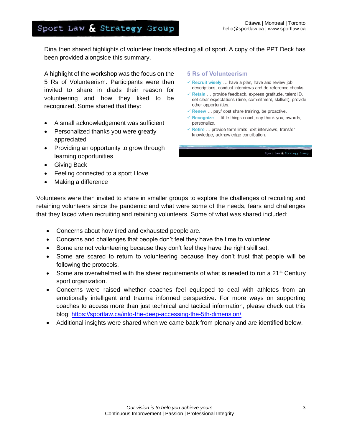Dina then shared highlights of volunteer trends affecting all of sport. A copy of the PPT Deck has been provided alongside this summary.

A highlight of the workshop was the focus on the 5 Rs of Volunteerism. Participants were then invited to share in diads their reason for volunteering and how they liked to be recognized. Some shared that they:

- A small acknowledgement was sufficient
- Personalized thanks you were greatly appreciated
- Providing an opportunity to grow through learning opportunities
- Giving Back
- Feeling connected to a sport I love
- Making a difference

#### **5 Rs of Volunteerism**

- $\checkmark$  Recruit wisely ... have a plan, have and review job descriptions, conduct interviews and do reference checks.
- $\checkmark$  Retain ... provide feedback, express gratitude, talent ID, set clear expectations (time, commitment, skillset), provide other opportunities.
- $\checkmark$  Renew ... pay/ cost share training, be proactive.
- $\checkmark$  Recognize ... little things count, say thank you, awards, personalize.
- $\checkmark$  Retire ... provide term limits, exit interviews, transfer knowledge, acknowledge contribution.

Sport Law & Strategy Group

Volunteers were then invited to share in smaller groups to explore the challenges of recruiting and retaining volunteers since the pandemic and what were some of the needs, fears and challenges that they faced when recruiting and retaining volunteers. Some of what was shared included:

- Concerns about how tired and exhausted people are.
- Concerns and challenges that people don't feel they have the time to volunteer.
- Some are not volunteering because they don't feel they have the right skill set.
- Some are scared to return to volunteering because they don't trust that people will be following the protocols.
- Some are overwhelmed with the sheer requirements of what is needed to run a 21<sup>st</sup> Century sport organization.
- Concerns were raised whether coaches feel equipped to deal with athletes from an emotionally intelligent and trauma informed perspective. For more ways on supporting coaches to access more than just technical and tactical information, please check out this blog:<https://sportlaw.ca/into-the-deep-accessing-the-5th-dimension/>
- Additional insights were shared when we came back from plenary and are identified below.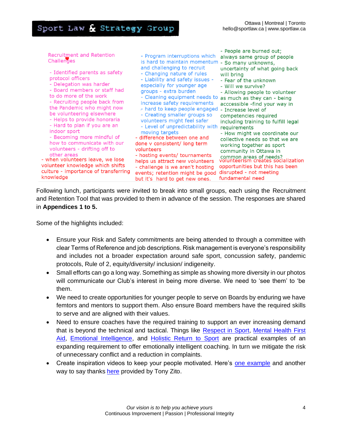| - Changing nature of rules<br>will bring<br>protocol officers<br>- Liability and safety issues -<br>- Fear of the unknown<br>- Delegation was harder<br>especially for younger age<br>- Will we survive?<br>- Board members or staff had<br>groups - extra burden<br>to do more of the work<br>- Cleaning equipment needs to<br>- Recruiting people back from<br>increase safety requirements<br>the Pandemic who might now<br>- hard to keep people engaged<br>be volunteering elsewhere<br>- Creating smaller groups so<br>- Helps to provide honoraria<br>volunteers might feel safer<br>- Hard to plan if you are an<br>- Level of unpredictability with<br>indoor sport<br>moving targets<br>- Becoming more mindful of<br>- difference between one and<br>how to communicate with our<br>done v consistent/ long term<br>volunteers - drifting off to<br>volunteers<br>other areas<br>- hosting events/ tournaments<br>- when volunteers leave, we lose<br>helps us attract new volunteers<br>volunteer knowledge which shifts<br>- challenge is we aren't hosting<br>culture - importance of transferring<br>events; retention might be good<br>knowledge<br>but it's hard to get new ones. | - Allowing people to volunteer<br>as much as they can - being<br>acccessible -find your way in<br>- Increase level of<br>competencies required<br>including training to fulfill legal<br>requirements<br>- How might we coordinate our<br>collective needs so that we are<br>working together as sport<br>community in Ottawa in<br>common areas of needs?<br>volunteerism creates socialization<br>opportunities but this has been<br>disrupted - not meeting<br>fundamental need |
|----------------------------------------------------------------------------------------------------------------------------------------------------------------------------------------------------------------------------------------------------------------------------------------------------------------------------------------------------------------------------------------------------------------------------------------------------------------------------------------------------------------------------------------------------------------------------------------------------------------------------------------------------------------------------------------------------------------------------------------------------------------------------------------------------------------------------------------------------------------------------------------------------------------------------------------------------------------------------------------------------------------------------------------------------------------------------------------------------------------------------------------------------------------------------------------------------|------------------------------------------------------------------------------------------------------------------------------------------------------------------------------------------------------------------------------------------------------------------------------------------------------------------------------------------------------------------------------------------------------------------------------------------------------------------------------------|
|----------------------------------------------------------------------------------------------------------------------------------------------------------------------------------------------------------------------------------------------------------------------------------------------------------------------------------------------------------------------------------------------------------------------------------------------------------------------------------------------------------------------------------------------------------------------------------------------------------------------------------------------------------------------------------------------------------------------------------------------------------------------------------------------------------------------------------------------------------------------------------------------------------------------------------------------------------------------------------------------------------------------------------------------------------------------------------------------------------------------------------------------------------------------------------------------------|------------------------------------------------------------------------------------------------------------------------------------------------------------------------------------------------------------------------------------------------------------------------------------------------------------------------------------------------------------------------------------------------------------------------------------------------------------------------------------|

Following lunch, participants were invited to break into small groups, each using the Recruitment and Retention Tool that was provided to them in advance of the session. The responses are shared in **Appendices 1 to 5.**

Some of the highlights included:

- Ensure your Risk and Safety commitments are being attended to through a committee with clear Terms of Reference and job descriptions. Risk management is everyone's responsibility and includes not a broader expectation around safe sport, concussion safety, pandemic protocols, Rule of 2, equity/diversity/ inclusion/ indigeneity.
- Small efforts can go a long way. Something as simple as showing more diversity in our photos will communicate our Club's interest in being more diverse. We need to 'see them' to 'be them.
- We need to create opportunities for younger people to serve on Boards by enduring we have femtors and mentors to support them. Also ensure Board members have the required skills to serve and are aligned with their values.
- Need to ensure coaches have the required training to support an ever increasing demand that is beyond the technical and tactical. Things like [Respect in Sport,](https://www.respectgroupinc.com/respect-in-sport/) [Mental Health First](https://sportlaw.ca/emotionally-intelligent-leaders-ways-to-unleash-your-organizations-full-leadership-potential/)  [Aid,](https://sportlaw.ca/emotionally-intelligent-leaders-ways-to-unleash-your-organizations-full-leadership-potential/) [Emotional Intelligence,](https://sportlaw.ca/emotionally-intelligent-leaders-ways-to-unleash-your-organizations-full-leadership-potential/) and [Holistic Return to Sport](https://sportlaw.ca/sport-law-strategy-groups-integral-coaches-supporting-a-healthy-and-holistic-return-to-sport/) are practical examples of an expanding requirement to offer emotionally intelligent coaching. In turn we mitigate the risk of unnecessary conflict and a reduction in complaints.
- Create inspiration videos to keep your people motivated. Here's [one example](https://www.icloud.com/attachment/?u=https%3A%2F%2Fcvws.icloud-content.com%2FB%2FAQl7XW7u62xzabzIN54n2LroD71UAUoM16kCwKGBS4XByQH-bnJ8K6Vy%2F%24%7Bf%7D%3Fo%3DAmZ4hSIZA6-uwSMoQkg55_GJW4_Y2fqtiteFNQdqQwDJ%26v%3D1%26x%3D3%26a%3DCAogLhPP4qA3F8FZPTlgyE5MVGcq4vqpawJxP0S3iPBIMp4SeBDd8Yupjy8Y3YGH_ZgvIgEAKgkC6AMA_2jAD0pSBOgPvVRaBHwrpXJqJsGQBq8QtEsSmJ8iE6odasEg9sTxhg2vj_sYbuNBqf4yOrnyZL25ciZpbZuApt9zSJ1QYhVNf1wzn4lDGk36VcoxtjNGE2IUcPBz7ZmWZw%26e%3D1621612413%26fl%3D%26r%3DB036680D-CCFC-46E5-BDFB-71959480942F-1%26k%3D%24%7Buk%7D%26ckc%3Dcom.apple.largeattachment%26ckz%3D34121340-0EBC-4AB2-9FC0-71BECD8DE501%26p%3D20%26s%3DHV59bpTW-DCVPku2vToXcENpN24&uk=w0_3XTuMUFE8YPVSaz1LLw&f=ATTENTION%20-%20WOLVES-MPEG-4%20.mp4&sz=18774759) and another way to say thanks [here](https://www.youtube.com/watch?v=Bt8OsB9UUUs) provided by Tony Zito.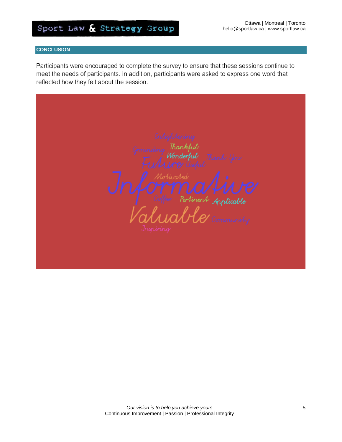#### **CONCLUSION**

Participants were encouraged to complete the survey to ensure that these sessions continue to meet the needs of participants. In addition, participants were asked to express one word that reflected how they felt about the session.

Thank Thankful<br>Wonderful Partinent Applicable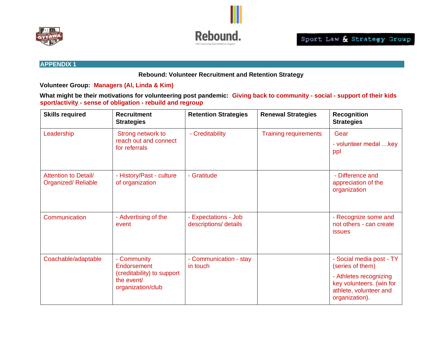

**Rebound: Volunteer Recruitment and Retention Strategy**

**Volunteer Group: Managers (Al, Linda & Kim)** 

**What might be their motivations for volunteering post pandemic: Giving back to community - social - support of their kids sport/activity - sense of obligation - rebuild and regroup**

| <b>Skills required</b>                            | <b>Recruitment</b><br><b>Strategies</b>                                                     | <b>Retention Strategies</b>                   | <b>Renewal Strategies</b>    | <b>Recognition</b><br><b>Strategies</b>                                                                                                        |
|---------------------------------------------------|---------------------------------------------------------------------------------------------|-----------------------------------------------|------------------------------|------------------------------------------------------------------------------------------------------------------------------------------------|
| Leadership                                        | Strong network to<br>reach out and connect<br>for referrals                                 | - Creditability                               | <b>Training requirements</b> | Gear<br>- volunteer medal key<br>ppl                                                                                                           |
| <b>Attention to Detail/</b><br>Organized/Reliable | - History/Past - culture<br>of organization                                                 | - Gratitude                                   |                              | - Difference and<br>appreciation of the<br>organization                                                                                        |
| Communication                                     | - Advertising of the<br>event                                                               | - Expectations - Job<br>descriptions/ details |                              | - Recognize some and<br>not others - can create<br>issues                                                                                      |
| Coachable/adaptable                               | - Community<br>Endorsement<br>(creditability) to support<br>the event/<br>organization/club | - Communication - stay<br>in touch            |                              | - Social media post - TY<br>(series of them)<br>- Athletes recognizing<br>key volunteers. (win for<br>athlete, volunteer and<br>organization). |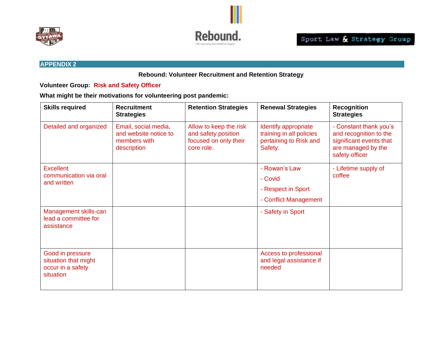



#### **Rebound: Volunteer Recruitment and Retention Strategy**

**Volunteer Group: Risk and Safety Officer**

| <b>Skills required</b>                                                     | <b>Recruitment</b><br><b>Strategies</b>                                      | <b>Retention Strategies</b>                                                          | <b>Renewal Strategies</b>                                                             | <b>Recognition</b><br><b>Strategies</b>                                                                             |
|----------------------------------------------------------------------------|------------------------------------------------------------------------------|--------------------------------------------------------------------------------------|---------------------------------------------------------------------------------------|---------------------------------------------------------------------------------------------------------------------|
| Detailed and organized                                                     | Email, social media,<br>and website notice to<br>members with<br>description | Allow to keep the risk<br>and safety position<br>focused on only their<br>core role. | Identify appropriate<br>training in all policies<br>pertaining to Risk and<br>Safety. | - Constant thank you's<br>and recognition to the<br>significant events that<br>are managed by the<br>safety officer |
| <b>Excellent</b><br>communication via oral<br>and written                  |                                                                              |                                                                                      | - Rowan's Law<br>- Covid<br>- Respect in Sport<br>- Conflict Management               | - Lifetime supply of<br>coffee                                                                                      |
| Management skills-can<br>lead a committee for<br>assistance                |                                                                              |                                                                                      | - Safety in Sport                                                                     |                                                                                                                     |
| Good in pressure<br>situation that might<br>occur in a safety<br>situation |                                                                              |                                                                                      | Access to professional<br>and legal assistance if<br>needed                           |                                                                                                                     |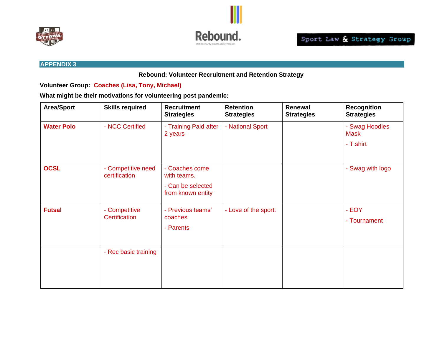



**Rebound: Volunteer Recruitment and Retention Strategy**

**Volunteer Group: Coaches (Lisa, Tony, Michael)**

| <b>Area/Sport</b> | <b>Skills required</b>              | <b>Recruitment</b><br><b>Strategies</b>                                 | <b>Retention</b><br><b>Strategies</b> | Renewal<br><b>Strategies</b> | <b>Recognition</b><br><b>Strategies</b>    |
|-------------------|-------------------------------------|-------------------------------------------------------------------------|---------------------------------------|------------------------------|--------------------------------------------|
| <b>Water Polo</b> | - NCC Certified                     | - Training Paid after<br>2 years                                        | - National Sport                      |                              | - Swag Hoodies<br><b>Mask</b><br>- T shirt |
| <b>OCSL</b>       | - Competitive need<br>certification | - Coaches come<br>with teams.<br>- Can be selected<br>from known entity |                                       |                              | - Swag with logo                           |
| <b>Futsal</b>     | - Competitive<br>Certification      | - Previous teams'<br>coaches<br>- Parents                               | - Love of the sport.                  |                              | - EOY<br>- Tournament                      |
|                   | - Rec basic training                |                                                                         |                                       |                              |                                            |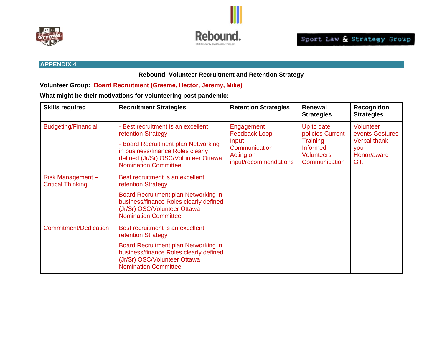



#### **Rebound: Volunteer Recruitment and Retention Strategy**

**Volunteer Group: Board Recruitment (Graeme, Hector, Jeremy, Mike)**

| <b>Skills required</b>                       | <b>Recruitment Strategies</b>                                                                                                                                                                               | <b>Retention Strategies</b>                                                                        | Renewal<br><b>Strategies</b>                                                                               | <b>Recognition</b><br><b>Strategies</b>                                                  |
|----------------------------------------------|-------------------------------------------------------------------------------------------------------------------------------------------------------------------------------------------------------------|----------------------------------------------------------------------------------------------------|------------------------------------------------------------------------------------------------------------|------------------------------------------------------------------------------------------|
| <b>Budgeting/Financial</b>                   | - Best recruitment is an excellent<br>retention Strategy<br>- Board Recruitment plan Networking<br>in business/finance Roles clearly<br>defined (Jr/Sr) OSC/Volunteer Ottawa<br><b>Nomination Committee</b> | Engagement<br><b>Feedback Loop</b><br>Input<br>Communication<br>Acting on<br>input/recommendations | Up to date<br>policies Current<br><b>Training</b><br><b>Informed</b><br><b>Volunteers</b><br>Communication | Volunteer<br>events Gestures<br><b>Verbal thank</b><br><b>VOU</b><br>Honor/award<br>Gift |
| Risk Management-<br><b>Critical Thinking</b> | Best recruitment is an excellent<br>retention Strategy<br>Board Recruitment plan Networking in<br>business/finance Roles clearly defined<br>(Jr/Sr) OSC/Volunteer Ottawa<br><b>Nomination Committee</b>     |                                                                                                    |                                                                                                            |                                                                                          |
| Commitment/Dedication                        | Best recruitment is an excellent<br>retention Strategy<br>Board Recruitment plan Networking in<br>business/finance Roles clearly defined<br>(Jr/Sr) OSC/Volunteer Ottawa<br><b>Nomination Committee</b>     |                                                                                                    |                                                                                                            |                                                                                          |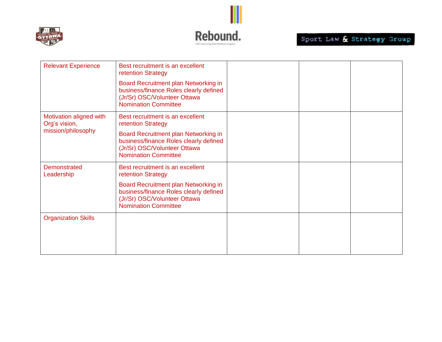



| <b>Relevant Experience</b>                                     | Best recruitment is an excellent<br>retention Strategy                                                                                        |  |  |
|----------------------------------------------------------------|-----------------------------------------------------------------------------------------------------------------------------------------------|--|--|
|                                                                | Board Recruitment plan Networking in<br>business/finance Roles clearly defined<br>(Jr/Sr) OSC/Volunteer Ottawa<br><b>Nomination Committee</b> |  |  |
| Motivation aligned with<br>Org's vision,<br>mission/philosophy | Best recruitment is an excellent<br>retention Strategy                                                                                        |  |  |
|                                                                | Board Recruitment plan Networking in<br>business/finance Roles clearly defined<br>(Jr/Sr) OSC/Volunteer Ottawa<br><b>Nomination Committee</b> |  |  |
| <b>Demonstrated</b><br>Leadership                              | Best recruitment is an excellent<br>retention Strategy                                                                                        |  |  |
|                                                                | Board Recruitment plan Networking in<br>business/finance Roles clearly defined<br>(Jr/Sr) OSC/Volunteer Ottawa<br><b>Nomination Committee</b> |  |  |
| <b>Organization Skills</b>                                     |                                                                                                                                               |  |  |
|                                                                |                                                                                                                                               |  |  |